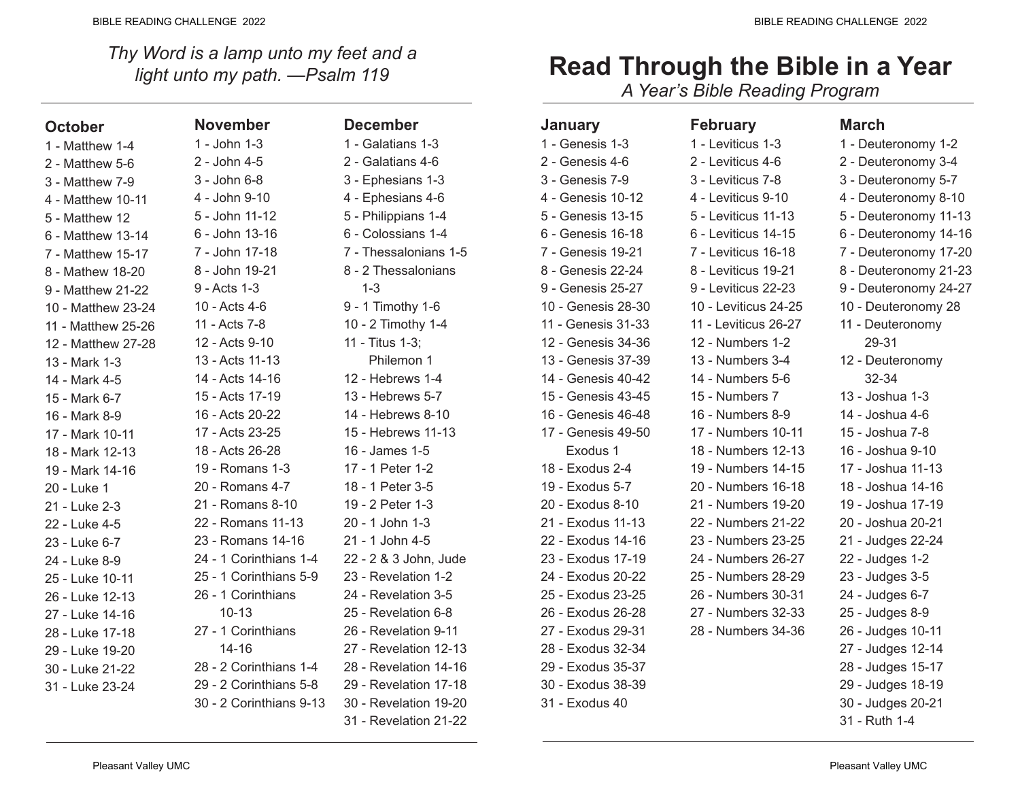*Thy Word is a lamp unto my feet and a light unto my path. —Psalm 119*

| <b>October</b>     | <b>November</b>         | <b>December</b>       |
|--------------------|-------------------------|-----------------------|
| 1 - Matthew 1-4    | 1 - John 1-3            | 1 - Galatians 1-3     |
| 2 - Matthew 5-6    | 2 - John 4-5            | 2 - Galatians 4-6     |
| 3 - Matthew 7-9    | 3 - John 6-8            | 3 - Ephesians 1-3     |
| 4 - Matthew 10-11  | 4 - John 9-10           | 4 - Ephesians 4-6     |
| 5 - Matthew 12     | 5 - John 11-12          | 5 - Philippians 1-4   |
| 6 - Matthew 13-14  | 6 - John 13-16          | 6 - Colossians 1-4    |
| 7 - Matthew 15-17  | 7 - John 17-18          | 7 - Thessalonians 1-5 |
| 8 - Mathew 18-20   | 8 - John 19-21          | 8 - 2 Thessalonians   |
| 9 - Matthew 21-22  | 9 - Acts 1-3            | $1 - 3$               |
| 10 - Matthew 23-24 | 10 - Acts 4-6           | 9 - 1 Timothy 1-6     |
| 11 - Matthew 25-26 | 11 - Acts 7-8           | 10 - 2 Timothy 1-4    |
| 12 - Matthew 27-28 | 12 - Acts 9-10          | 11 - Titus 1-3;       |
| 13 - Mark 1-3      | 13 - Acts 11-13         | Philemon 1            |
| 14 - Mark 4-5      | 14 - Acts 14-16         | 12 - Hebrews 1-4      |
| 15 - Mark 6-7      | 15 - Acts 17-19         | 13 - Hebrews 5-7      |
| 16 - Mark 8-9      | 16 - Acts 20-22         | 14 - Hebrews 8-10     |
| 17 - Mark 10-11    | 17 - Acts 23-25         | 15 - Hebrews 11-13    |
| 18 - Mark 12-13    | 18 - Acts 26-28         | 16 - James 1-5        |
| 19 - Mark 14-16    | 19 - Romans 1-3         | 17 - 1 Peter 1-2      |
| 20 - Luke 1        | 20 - Romans 4-7         | 18 - 1 Peter 3-5      |
| 21 - Luke 2-3      | 21 - Romans 8-10        | 19 - 2 Peter 1-3      |
| 22 - Luke 4-5      | 22 - Romans 11-13       | 20 - 1 John 1-3       |
| 23 - Luke 6-7      | 23 - Romans 14-16       | 21 - 1 John 4-5       |
| 24 - Luke 8-9      | 24 - 1 Corinthians 1-4  | 22 - 2 & 3 John, Jude |
| 25 - Luke 10-11    | 25 - 1 Corinthians 5-9  | 23 - Revelation 1-2   |
| 26 - Luke 12-13    | 26 - 1 Corinthians      | 24 - Revelation 3-5   |
| 27 - Luke 14-16    | $10 - 13$               | 25 - Revelation 6-8   |
| 28 - Luke 17-18    | 27 - 1 Corinthians      | 26 - Revelation 9-11  |
| 29 - Luke 19-20    | $14 - 16$               | 27 - Revelation 12-13 |
| 30 - Luke 21-22    | 28 - 2 Corinthians 1-4  | 28 - Revelation 14-16 |
| 31 - Luke 23-24    | 29 - 2 Corinthians 5-8  | 29 - Revelation 17-18 |
|                    | 30 - 2 Corinthians 9-13 | 30 - Revelation 19-20 |
|                    |                         | 31 - Revelation 21-22 |

| <b>Read Through the Bible in a Year</b>                                                                                                                                                                                                                                                                     |  |  |  |
|-------------------------------------------------------------------------------------------------------------------------------------------------------------------------------------------------------------------------------------------------------------------------------------------------------------|--|--|--|
| $\mathbf{A}$ , $\mathbf{A}$ , $\mathbf{A}$ , $\mathbf{A}$ , $\mathbf{A}$ , $\mathbf{A}$ , $\mathbf{A}$ , $\mathbf{A}$ , $\mathbf{A}$ , $\mathbf{A}$ , $\mathbf{A}$ , $\mathbf{A}$ , $\mathbf{A}$ , $\mathbf{A}$ , $\mathbf{A}$ , $\mathbf{A}$ , $\mathbf{A}$ , $\mathbf{A}$ , $\mathbf{A}$ , $\mathbf{A}$ , |  |  |  |

*A Year's Bible Reading Program*

| <b>January</b>     | <b>February</b>      | <b>March</b>          |
|--------------------|----------------------|-----------------------|
| 1 - Genesis 1-3    | 1 - Leviticus 1-3    | 1 - Deuteronomy 1-2   |
| 2 - Genesis 4-6    | 2 - Leviticus 4-6    | 2 - Deuteronomy 3-4   |
| 3 - Genesis 7-9    | 3 - Leviticus 7-8    | 3 - Deuteronomy 5-7   |
| 4 - Genesis 10-12  | 4 - Leviticus 9-10   | 4 - Deuteronomy 8-10  |
| 5 - Genesis 13-15  | 5 - Leviticus 11-13  | 5 - Deuteronomy 11-13 |
| 6 - Genesis 16-18  | 6 - Leviticus 14-15  | 6 - Deuteronomy 14-16 |
| 7 - Genesis 19-21  | 7 - Leviticus 16-18  | 7 - Deuteronomy 17-20 |
| 8 - Genesis 22-24  | 8 - Leviticus 19-21  | 8 - Deuteronomy 21-23 |
| 9 - Genesis 25-27  | 9 - Leviticus 22-23  | 9 - Deuteronomy 24-27 |
| 10 - Genesis 28-30 | 10 - Leviticus 24-25 | 10 - Deuteronomy 28   |
| 11 - Genesis 31-33 | 11 - Leviticus 26-27 | 11 - Deuteronomy      |
| 12 - Genesis 34-36 | 12 - Numbers 1-2     | 29-31                 |
| 13 - Genesis 37-39 | 13 - Numbers 3-4     | 12 - Deuteronomy      |
| 14 - Genesis 40-42 | 14 - Numbers 5-6     | 32-34                 |
| 15 - Genesis 43-45 | 15 - Numbers 7       | 13 - Joshua 1-3       |
| 16 - Genesis 46-48 | 16 - Numbers 8-9     | 14 - Joshua 4-6       |
| 17 - Genesis 49-50 | 17 - Numbers 10-11   | 15 - Joshua 7-8       |
| Exodus 1           | 18 - Numbers 12-13   | 16 - Joshua 9-10      |
| 18 - Exodus 2-4    | 19 - Numbers 14-15   | 17 - Joshua 11-13     |
| 19 - Exodus 5-7    | 20 - Numbers 16-18   | 18 - Joshua 14-16     |
| 20 - Exodus 8-10   | 21 - Numbers 19-20   | 19 - Joshua 17-19     |
| 21 - Exodus 11-13  | 22 - Numbers 21-22   | 20 - Joshua 20-21     |
| 22 - Exodus 14-16  | 23 - Numbers 23-25   | 21 - Judges 22-24     |
| 23 - Exodus 17-19  | 24 - Numbers 26-27   | 22 - Judges 1-2       |
| 24 - Exodus 20-22  | 25 - Numbers 28-29   | 23 - Judges 3-5       |
| 25 - Exodus 23-25  | 26 - Numbers 30-31   | 24 - Judges 6-7       |
| 26 - Exodus 26-28  | 27 - Numbers 32-33   | 25 - Judges 8-9       |
| 27 - Exodus 29-31  | 28 - Numbers 34-36   | 26 - Judges 10-11     |
| 28 - Exodus 32-34  |                      | 27 - Judges 12-14     |
| 29 - Exodus 35-37  |                      | 28 - Judges 15-17     |
| 30 - Exodus 38-39  |                      | 29 - Judges 18-19     |
| 31 - Exodus 40     |                      | 30 - Judges 20-21     |
|                    |                      | 31 - Ruth 1-4         |